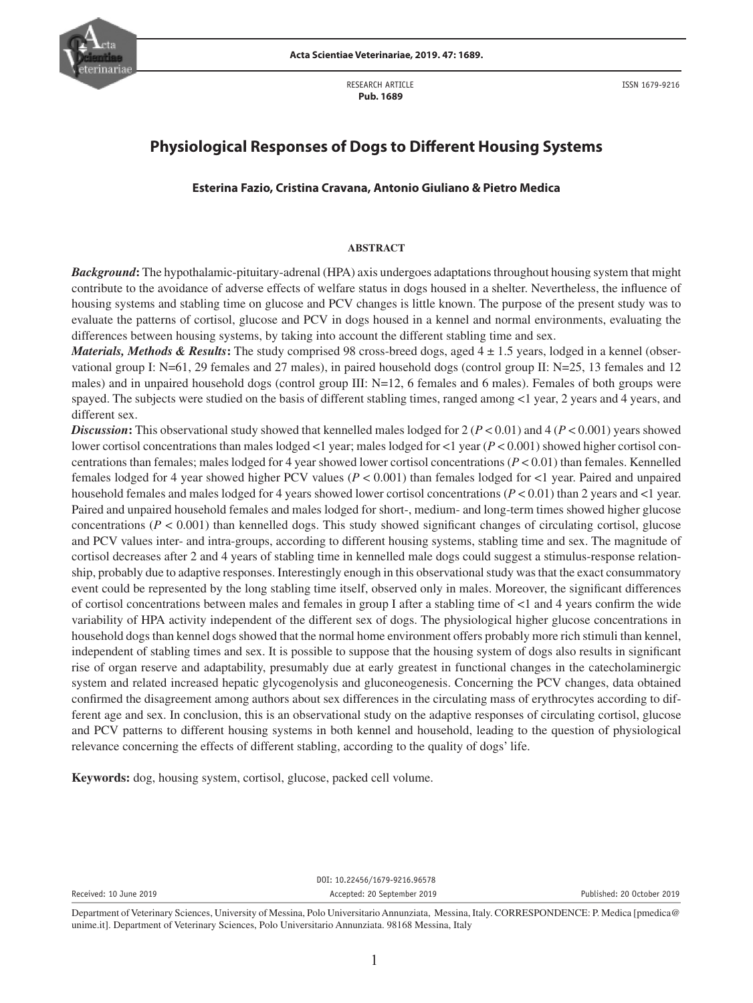

RESEARCH ARTICLE  **Pub. 1689**

ISSN 1679-9216

# **Physiological Responses of Dogs to Different Housing Systems**

### **Esterina Fazio, Cristina Cravana, Antonio Giuliano & Pietro Medica**

#### **ABSTRACT**

*Background***:** The hypothalamic-pituitary-adrenal (HPA) axis undergoes adaptations throughout housing system that might contribute to the avoidance of adverse effects of welfare status in dogs housed in a shelter. Nevertheless, the influence of housing systems and stabling time on glucose and PCV changes is little known. The purpose of the present study was to evaluate the patterns of cortisol, glucose and PCV in dogs housed in a kennel and normal environments, evaluating the differences between housing systems, by taking into account the different stabling time and sex.

*Materials, Methods & Results*: The study comprised 98 cross-breed dogs, aged  $4 \pm 1.5$  years, lodged in a kennel (observational group I: N=61, 29 females and 27 males), in paired household dogs (control group II: N=25, 13 females and 12 males) and in unpaired household dogs (control group III: N=12, 6 females and 6 males). Females of both groups were spayed. The subjects were studied on the basis of different stabling times, ranged among <1 year, 2 years and 4 years, and different sex.

*Discussion***:** This observational study showed that kennelled males lodged for 2 (*P* < 0.01) and 4 (*P* < 0.001) years showed lower cortisol concentrations than males lodged <1 year; males lodged for <1 year ( $P$  < 0.001) showed higher cortisol concentrations than females; males lodged for 4 year showed lower cortisol concentrations (*P* < 0.01) than females. Kennelled females lodged for 4 year showed higher PCV values (*P* < 0.001) than females lodged for <1 year. Paired and unpaired household females and males lodged for 4 years showed lower cortisol concentrations (*P* < 0.01) than 2 years and <1 year. Paired and unpaired household females and males lodged for short-, medium- and long-term times showed higher glucose concentrations (*P* < 0.001) than kennelled dogs. This study showed significant changes of circulating cortisol, glucose and PCV values inter- and intra-groups, according to different housing systems, stabling time and sex. The magnitude of cortisol decreases after 2 and 4 years of stabling time in kennelled male dogs could suggest a stimulus-response relationship, probably due to adaptive responses. Interestingly enough in this observational study was that the exact consummatory event could be represented by the long stabling time itself, observed only in males. Moreover, the significant differences of cortisol concentrations between males and females in group I after a stabling time of <1 and 4 years confirm the wide variability of HPA activity independent of the different sex of dogs. The physiological higher glucose concentrations in household dogs than kennel dogs showed that the normal home environment offers probably more rich stimuli than kennel, independent of stabling times and sex. It is possible to suppose that the housing system of dogs also results in significant rise of organ reserve and adaptability, presumably due at early greatest in functional changes in the catecholaminergic system and related increased hepatic glycogenolysis and gluconeogenesis. Concerning the PCV changes, data obtained confirmed the disagreement among authors about sex differences in the circulating mass of erythrocytes according to different age and sex. In conclusion, this is an observational study on the adaptive responses of circulating cortisol, glucose and PCV patterns to different housing systems in both kennel and household, leading to the question of physiological relevance concerning the effects of different stabling, according to the quality of dogs' life.

**Keywords:** dog, housing system, cortisol, glucose, packed cell volume.

DOI: 10.22456/1679-9216.96578 Received: 10 June 2019 Accepted: 20 September 2019 Published: 20 October 2019

Department of Veterinary Sciences, University of Messina, Polo Universitario Annunziata, Messina, Italy. CORRESPONDENCE: P. Medica [pmedica@ unime.it]. Department of Veterinary Sciences, Polo Universitario Annunziata. 98168 Messina, Italy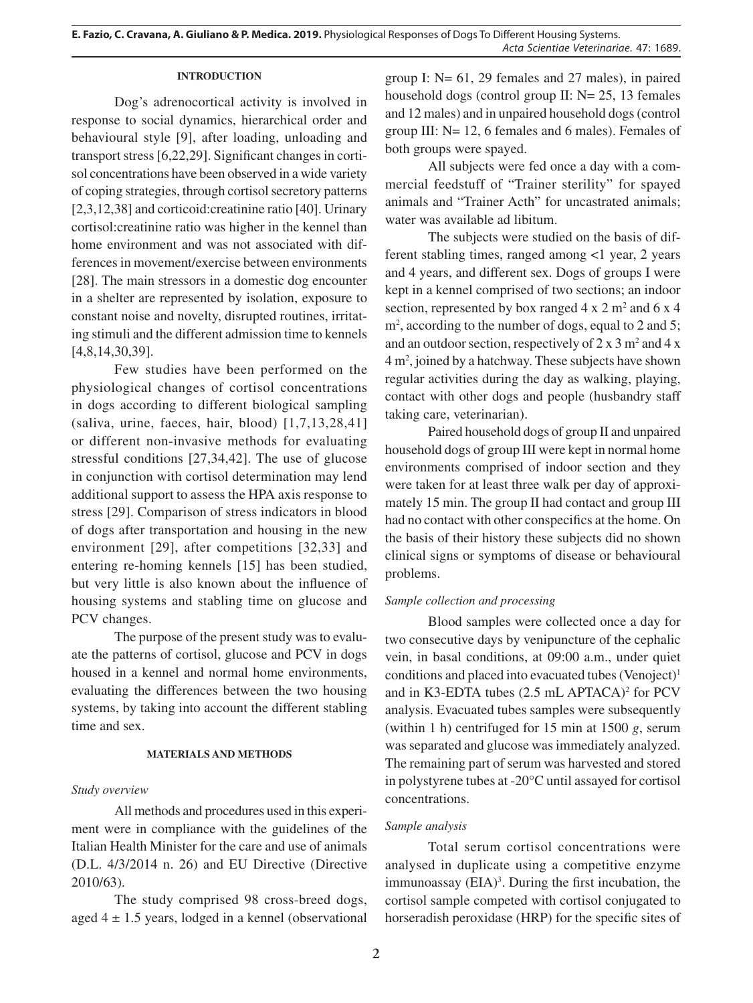### **INTRODUCTION**

Dog's adrenocortical activity is involved in response to social dynamics, hierarchical order and behavioural style [9], after loading, unloading and transport stress [6,22,29]. Significant changes in cortisol concentrations have been observed in a wide variety of coping strategies, through cortisol secretory patterns [2,3,12,38] and corticoid:creatinine ratio [40]. Urinary cortisol:creatinine ratio was higher in the kennel than home environment and was not associated with differences in movement/exercise between environments [28]. The main stressors in a domestic dog encounter in a shelter are represented by isolation, exposure to constant noise and novelty, disrupted routines, irritating stimuli and the different admission time to kennels [4,8,14,30,39].

Few studies have been performed on the physiological changes of cortisol concentrations in dogs according to different biological sampling (saliva, urine, faeces, hair, blood) [1,7,13,28,41] or different non-invasive methods for evaluating stressful conditions [27,34,42]. The use of glucose in conjunction with cortisol determination may lend additional support to assess the HPA axis response to stress [29]. Comparison of stress indicators in blood of dogs after transportation and housing in the new environment [29], after competitions [32,33] and entering re-homing kennels [15] has been studied, but very little is also known about the influence of housing systems and stabling time on glucose and PCV changes.

The purpose of the present study was to evaluate the patterns of cortisol, glucose and PCV in dogs housed in a kennel and normal home environments, evaluating the differences between the two housing systems, by taking into account the different stabling time and sex.

### **MATERIALS AND METHODS**

# *Study overview*

All methods and procedures used in this experiment were in compliance with the guidelines of the Italian Health Minister for the care and use of animals (D.L. 4/3/2014 n. 26) and EU Directive (Directive 2010/63).

The study comprised 98 cross-breed dogs, aged  $4 \pm 1.5$  years, lodged in a kennel (observational

group I: N= 61, 29 females and 27 males), in paired household dogs (control group II: N= 25, 13 females and 12 males) and in unpaired household dogs (control group III: N= 12, 6 females and 6 males). Females of both groups were spayed.

All subjects were fed once a day with a commercial feedstuff of "Trainer sterility" for spayed animals and "Trainer Acth" for uncastrated animals; water was available ad libitum.

The subjects were studied on the basis of different stabling times, ranged among <1 year, 2 years and 4 years, and different sex. Dogs of groups I were kept in a kennel comprised of two sections; an indoor section, represented by box ranged  $4 \times 2$  m<sup>2</sup> and  $6 \times 4$ m<sup>2</sup>, according to the number of dogs, equal to 2 and 5; and an outdoor section, respectively of  $2 \times 3$  m<sup>2</sup> and  $4 \times$ 4 m2 , joined by a hatchway. These subjects have shown regular activities during the day as walking, playing, contact with other dogs and people (husbandry staff taking care, veterinarian).

Paired household dogs of group II and unpaired household dogs of group III were kept in normal home environments comprised of indoor section and they were taken for at least three walk per day of approximately 15 min. The group II had contact and group III had no contact with other conspecifics at the home. On the basis of their history these subjects did no shown clinical signs or symptoms of disease or behavioural problems.

# *Sample collection and processing*

Blood samples were collected once a day for two consecutive days by venipuncture of the cephalic vein, in basal conditions, at 09:00 a.m., under quiet conditions and placed into evacuated tubes (Venoject)<sup>1</sup> and in K3-EDTA tubes (2.5 mL APTACA)<sup>2</sup> for PCV analysis. Evacuated tubes samples were subsequently (within 1 h) centrifuged for 15 min at 1500 *g*, serum was separated and glucose was immediately analyzed. The remaining part of serum was harvested and stored in polystyrene tubes at -20°C until assayed for cortisol concentrations.

# *Sample analysis*

Total serum cortisol concentrations were analysed in duplicate using a competitive enzyme immunoassay (EIA)<sup>3</sup>. During the first incubation, the cortisol sample competed with cortisol conjugated to horseradish peroxidase (HRP) for the specific sites of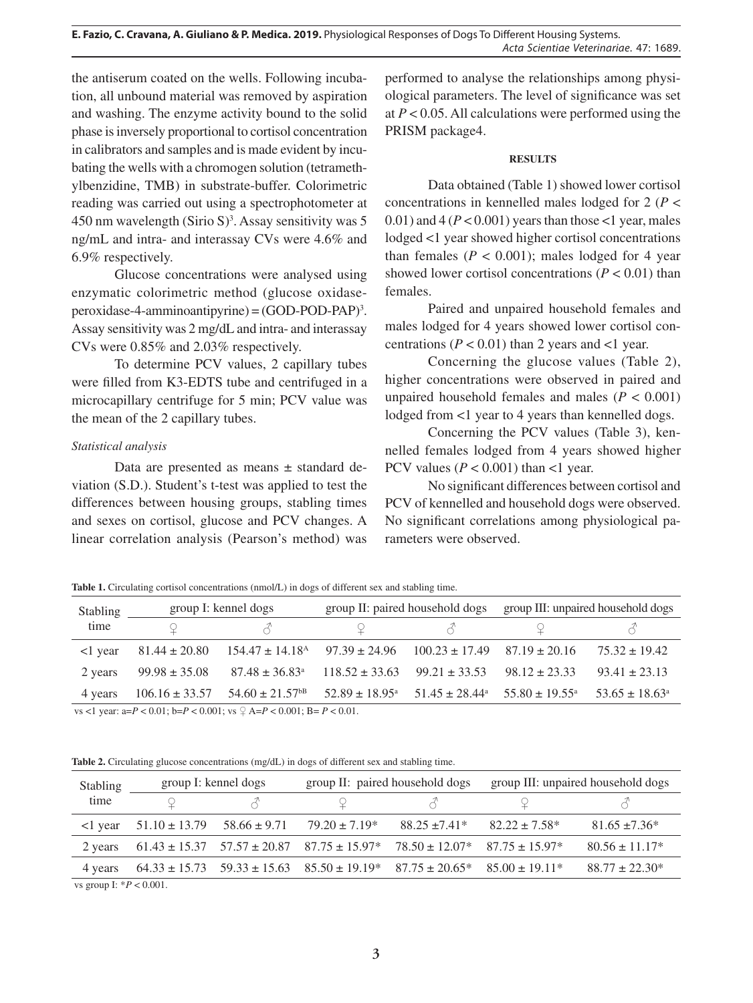the antiserum coated on the wells. Following incubation, all unbound material was removed by aspiration and washing. The enzyme activity bound to the solid phase is inversely proportional to cortisol concentration in calibrators and samples and is made evident by incubating the wells with a chromogen solution (tetramethylbenzidine, TMB) in substrate-buffer. Colorimetric reading was carried out using a spectrophotometer at  $450$  nm wavelength (Sirio S)<sup>3</sup>. Assay sensitivity was 5 ng/mL and intra- and interassay CVs were 4.6% and 6.9% respectively.

Glucose concentrations were analysed using enzymatic colorimetric method (glucose oxidase $peroxidase-4-amminoantipyrine) = (GOD-POD-PAP)<sup>3</sup>.$ Assay sensitivity was 2 mg/dL and intra- and interassay CVs were 0.85% and 2.03% respectively.

To determine PCV values, 2 capillary tubes were filled from K3-EDTS tube and centrifuged in a microcapillary centrifuge for 5 min; PCV value was the mean of the 2 capillary tubes.

# *Statistical analysis*

Data are presented as means ± standard deviation (S.D.). Student's t-test was applied to test the differences between housing groups, stabling times and sexes on cortisol, glucose and PCV changes. A linear correlation analysis (Pearson's method) was

performed to analyse the relationships among physiological parameters. The level of significance was set at *P* < 0.05. All calculations were performed using the PRISM package4.

### **RESULTS**

Data obtained (Table 1) showed lower cortisol concentrations in kennelled males lodged for 2 (*P* <  $0.01$ ) and  $4 (P < 0.001)$  years than those  $<$ 1 year, males lodged <1 year showed higher cortisol concentrations than females  $(P < 0.001)$ ; males lodged for 4 year showed lower cortisol concentrations  $(P < 0.01)$  than females.

Paired and unpaired household females and males lodged for 4 years showed lower cortisol concentrations ( $P < 0.01$ ) than 2 years and <1 year.

Concerning the glucose values (Table 2), higher concentrations were observed in paired and unpaired household females and males  $(P < 0.001)$ lodged from <1 year to 4 years than kennelled dogs.

Concerning the PCV values (Table 3), kennelled females lodged from 4 years showed higher PCV values ( $P < 0.001$ ) than <1 year.

No significant differences between cortisol and PCV of kennelled and household dogs were observed. No significant correlations among physiological parameters were observed.

Table 1. Circulating cortisol concentrations (nmol/L) in dogs of different sex and stabling time.

| Stabling<br>time | group I: kennel dogs |                                                                                        | group II: paired household dogs |                                                                               | group III: unpaired household dogs |                           |
|------------------|----------------------|----------------------------------------------------------------------------------------|---------------------------------|-------------------------------------------------------------------------------|------------------------------------|---------------------------|
|                  |                      |                                                                                        |                                 |                                                                               |                                    |                           |
| $\leq$ 1 vear    | $81.44 \pm 20.80$    | $154.47 \pm 14.18$ <sup>A</sup> $97.39 \pm 24.96$ $100.23 \pm 17.49$ $87.19 \pm 20.16$ |                                 |                                                                               |                                    | $75.32 \pm 19.42$         |
| 2 years          | $99.98 \pm 35.08$    | $87.48 \pm 36.83$ <sup>a</sup>                                                         | $118.52 \pm 33.63$              | $99.21 \pm 33.53$                                                             | $98.12 \pm 23.33$                  | $93.41 \pm 23.13$         |
| 4 years          |                      | $106.16 \pm 33.57$ $54.60 \pm 21.57$ <sup>bB</sup>                                     |                                 | $52.89 \pm 18.95^{\circ}$ $51.45 \pm 28.44^{\circ}$ $55.80 \pm 19.55^{\circ}$ |                                    | $53.65 \pm 18.63^{\circ}$ |

vs <1 year: a=*P* < 0.01; b=*P* < 0.001; vs ♀ A=*P* < 0.001; B= *P* < 0.01.

**Table 2.** Circulating glucose concentrations (mg/dL) in dogs of different sex and stabling time.

| Stabling<br>time | group I: kennel dogs |                  | group II: paired household dogs |                                                                                             | group III: unpaired household dogs |                    |
|------------------|----------------------|------------------|---------------------------------|---------------------------------------------------------------------------------------------|------------------------------------|--------------------|
|                  |                      |                  |                                 | $\prec$                                                                                     |                                    |                    |
| l year           | $51.10 \pm 13.79$    | $58.66 \pm 9.71$ | $79.20 \pm 7.19*$               | $88.25 \pm 7.41*$                                                                           | $82.22 \pm 7.58^*$                 | $81.65 \pm 7.36^*$ |
| 2 years          |                      |                  |                                 | $61.43 \pm 15.37$ $57.57 \pm 20.87$ $87.75 \pm 15.97$ $78.50 \pm 12.07$ $87.75 \pm 15.97$ * |                                    | $80.56 \pm 11.17*$ |
| 4 years          |                      |                  |                                 | $64.33 \pm 15.73$ $59.33 \pm 15.63$ $85.50 \pm 19.19$ $87.75 \pm 20.65$ *                   | $85.00 \pm 19.11*$                 | $88.77 \pm 22.30*$ |

vs group I: \**P* < 0.001.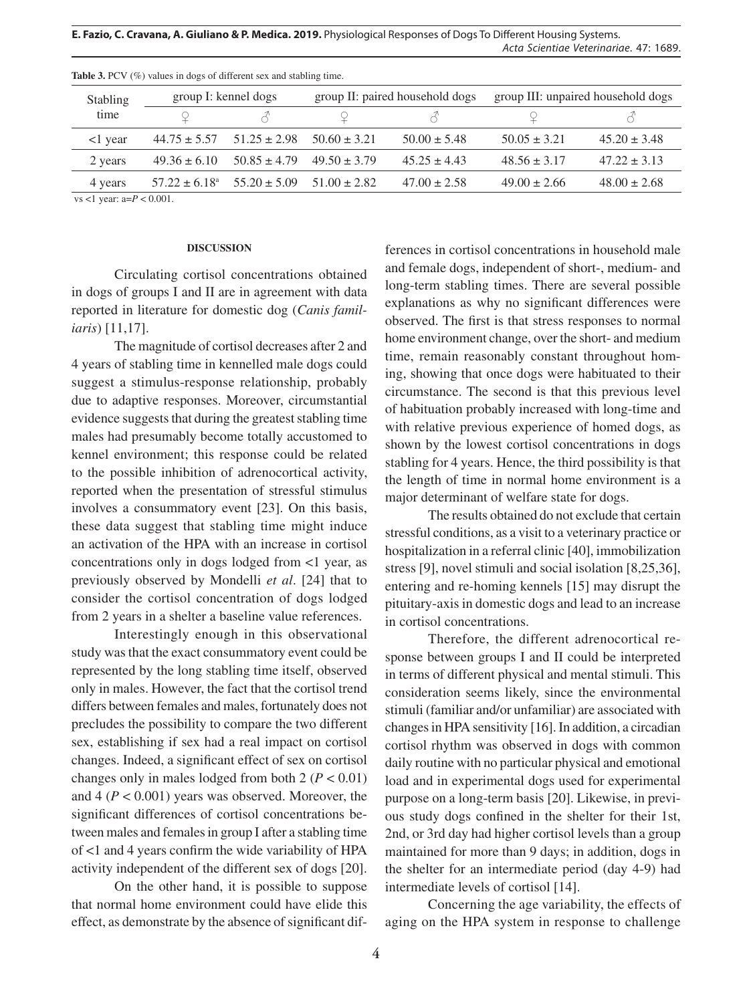**E. Fazio, C. Cravana, A. Giuliano & P. Medica. 2019.** Physiological Responses of Dogs To Different Housing Systems. *Acta Scientiae Veterinariae*. 47: 1689.

| <b>Stabling</b><br>time | group I: kennel dogs |                                           | group II: paired household dogs |                  | group III: unpaired household dogs |                  |
|-------------------------|----------------------|-------------------------------------------|---------------------------------|------------------|------------------------------------|------------------|
|                         |                      |                                           |                                 |                  |                                    |                  |
| <1 year                 | $44.75 \pm 5.57$     | $51.25 \pm 2.98$                          | $50.60 \pm 3.21$                | $50.00 \pm 5.48$ | $50.05 + 3.21$                     | $45.20 \pm 3.48$ |
| 2 years                 | $49.36 \pm 6.10$     | $50.85 \pm 4.79$                          | $49.50 \pm 3.79$                | $45.25 + 4.43$   | $48.56 + 3.17$                     | $47.22 \pm 3.13$ |
| 4 years                 |                      | $57.22 \pm 6.18^{\circ}$ $55.20 \pm 5.09$ | $51.00 \pm 2.82$                | $47.00 \pm 2.58$ | $49.00 \pm 2.66$                   | $48.00 \pm 2.68$ |

Table 3. PCV (%) values in dogs of different sex and stabling time.

vs <1 year: a=*P* < 0.001.

#### **DISCUSSION**

Circulating cortisol concentrations obtained in dogs of groups I and II are in agreement with data reported in literature for domestic dog (*Canis familiaris*) [11,17].

The magnitude of cortisol decreases after 2 and 4 years of stabling time in kennelled male dogs could suggest a stimulus-response relationship, probably due to adaptive responses. Moreover, circumstantial evidence suggests that during the greatest stabling time males had presumably become totally accustomed to kennel environment; this response could be related to the possible inhibition of adrenocortical activity, reported when the presentation of stressful stimulus involves a consummatory event [23]. On this basis, these data suggest that stabling time might induce an activation of the HPA with an increase in cortisol concentrations only in dogs lodged from <1 year, as previously observed by Mondelli *et al*. [24] that to consider the cortisol concentration of dogs lodged from 2 years in a shelter a baseline value references.

Interestingly enough in this observational study was that the exact consummatory event could be represented by the long stabling time itself, observed only in males. However, the fact that the cortisol trend differs between females and males, fortunately does not precludes the possibility to compare the two different sex, establishing if sex had a real impact on cortisol changes. Indeed, a significant effect of sex on cortisol changes only in males lodged from both  $2 (P < 0.01)$ and 4 (*P* < 0.001) years was observed. Moreover, the significant differences of cortisol concentrations between males and females in group I after a stabling time of <1 and 4 years confirm the wide variability of HPA activity independent of the different sex of dogs [20].

On the other hand, it is possible to suppose that normal home environment could have elide this effect, as demonstrate by the absence of significant differences in cortisol concentrations in household male and female dogs, independent of short-, medium- and long-term stabling times. There are several possible explanations as why no significant differences were observed. The first is that stress responses to normal home environment change, over the short- and medium time, remain reasonably constant throughout homing, showing that once dogs were habituated to their circumstance. The second is that this previous level of habituation probably increased with long-time and with relative previous experience of homed dogs, as shown by the lowest cortisol concentrations in dogs stabling for 4 years. Hence, the third possibility is that the length of time in normal home environment is a major determinant of welfare state for dogs.

The results obtained do not exclude that certain stressful conditions, as a visit to a veterinary practice or hospitalization in a referral clinic [40], immobilization stress [9], novel stimuli and social isolation [8,25,36], entering and re-homing kennels [15] may disrupt the pituitary-axis in domestic dogs and lead to an increase in cortisol concentrations.

Therefore, the different adrenocortical response between groups I and II could be interpreted in terms of different physical and mental stimuli. This consideration seems likely, since the environmental stimuli (familiar and/or unfamiliar) are associated with changes in HPA sensitivity [16]. In addition, a circadian cortisol rhythm was observed in dogs with common daily routine with no particular physical and emotional load and in experimental dogs used for experimental purpose on a long-term basis [20]. Likewise, in previous study dogs confined in the shelter for their 1st, 2nd, or 3rd day had higher cortisol levels than a group maintained for more than 9 days; in addition, dogs in the shelter for an intermediate period (day 4-9) had intermediate levels of cortisol [14].

Concerning the age variability, the effects of aging on the HPA system in response to challenge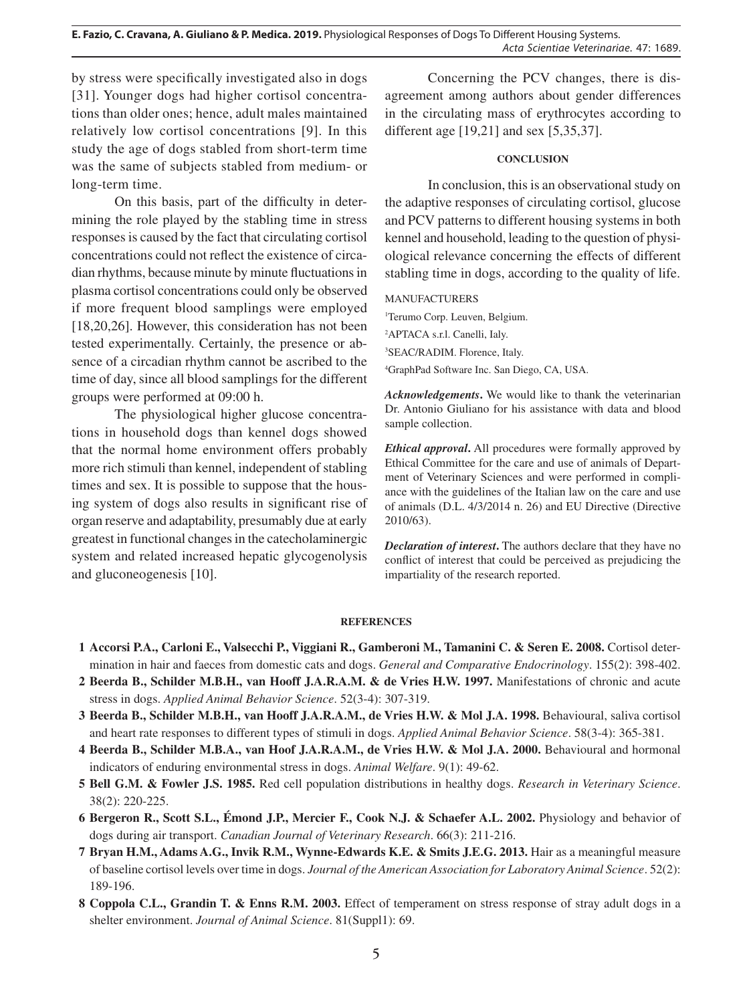**E. Fazio, C. Cravana, A. Giuliano & P. Medica. 2019.** Physiological Responses of Dogs To Different Housing Systems. *Acta Scientiae Veterinariae*. 47: 1689.

by stress were specifically investigated also in dogs [31]. Younger dogs had higher cortisol concentrations than older ones; hence, adult males maintained relatively low cortisol concentrations [9]. In this study the age of dogs stabled from short-term time was the same of subjects stabled from medium- or long-term time.

On this basis, part of the difficulty in determining the role played by the stabling time in stress responses is caused by the fact that circulating cortisol concentrations could not reflect the existence of circadian rhythms, because minute by minute fluctuations in plasma cortisol concentrations could only be observed if more frequent blood samplings were employed [18,20,26]. However, this consideration has not been tested experimentally. Certainly, the presence or absence of a circadian rhythm cannot be ascribed to the time of day, since all blood samplings for the different groups were performed at 09:00 h.

The physiological higher glucose concentrations in household dogs than kennel dogs showed that the normal home environment offers probably more rich stimuli than kennel, independent of stabling times and sex. It is possible to suppose that the housing system of dogs also results in significant rise of organ reserve and adaptability, presumably due at early greatest in functional changes in the catecholaminergic system and related increased hepatic glycogenolysis and gluconeogenesis [10].

Concerning the PCV changes, there is disagreement among authors about gender differences in the circulating mass of erythrocytes according to different age [19,21] and sex [5,35,37].

### **CONCLUSION**

In conclusion, this is an observational study on the adaptive responses of circulating cortisol, glucose and PCV patterns to different housing systems in both kennel and household, leading to the question of physiological relevance concerning the effects of different stabling time in dogs, according to the quality of life.

MANUFACTURERS

1 Terumo Corp. Leuven, Belgium.

2 APTACA s.r.l. Canelli, Ialy.

3 SEAC/RADIM. Florence, Italy.

4 GraphPad Software Inc. San Diego, CA, USA.

*Acknowledgements***.** We would like to thank the veterinarian Dr. Antonio Giuliano for his assistance with data and blood sample collection.

*Ethical approval***.** All procedures were formally approved by Ethical Committee for the care and use of animals of Department of Veterinary Sciences and were performed in compliance with the guidelines of the Italian law on the care and use of animals (D.L. 4/3/2014 n. 26) and EU Directive (Directive 2010/63).

*Declaration of interest***.** The authors declare that they have no conflict of interest that could be perceived as prejudicing the impartiality of the research reported.

#### **REFERENCES**

- **1 Accorsi P.A., Carloni E., Valsecchi P., Viggiani R., Gamberoni M., Tamanini C. & Seren E. 2008.** Cortisol determination in hair and faeces from domestic cats and dogs. *General and Comparative Endocrinology*. 155(2): 398-402.
- **2 Beerda B., Schilder M.B.H., van Hooff J.A.R.A.M. & de Vries H.W. 1997.** Manifestations of chronic and acute stress in dogs. *Applied Animal Behavior Science*. 52(3-4): 307-319.
- **3 Beerda B., Schilder M.B.H., van Hooff J.A.R.A.M., de Vries H.W. & Mol J.A. 1998.** Behavioural, saliva cortisol and heart rate responses to different types of stimuli in dogs. *Applied Animal Behavior Science*. 58(3-4): 365-381.
- **4 Beerda B., Schilder M.B.A., van Hoof J.A.R.A.M., de Vries H.W. & Mol J.A. 2000.** Behavioural and hormonal indicators of enduring environmental stress in dogs. *Animal Welfare*. 9(1): 49-62.
- **5 Bell G.M. & Fowler J.S. 1985.** Red cell population distributions in healthy dogs. *Research in Veterinary Science*. 38(2): 220-225.
- **6 Bergeron R., Scott S.L., Émond J.P., Mercier F., Cook N.J. & Schaefer A.L. 2002.** Physiology and behavior of dogs during air transport. *Canadian Journal of Veterinary Research*. 66(3): 211-216.
- **7 Bryan H.M., Adams A.G., Invik R.M., Wynne-Edwards K.E. & Smits J.E.G. 2013.** Hair as a meaningful measure of baseline cortisol levels over time in dogs. *Journal of the American Association for Laboratory Animal Science*. 52(2): 189-196.
- **8 Coppola C.L., Grandin T. & Enns R.M. 2003.** Effect of temperament on stress response of stray adult dogs in a shelter environment. *Journal of Animal Science*. 81(Suppl1): 69.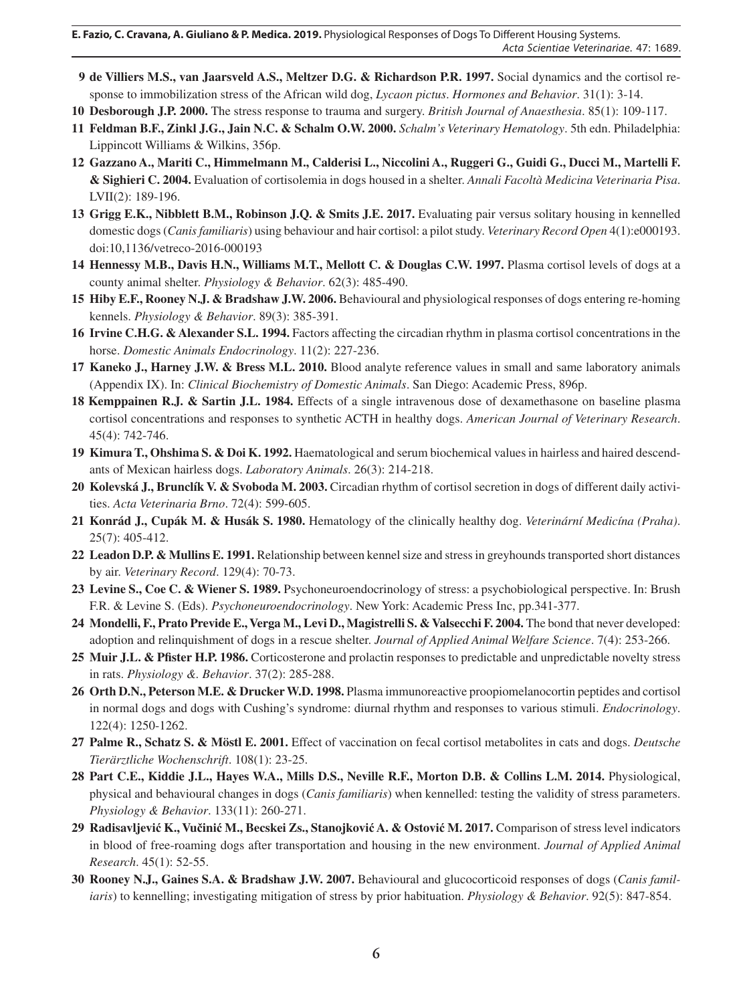- **9 de Villiers M.S., van Jaarsveld A.S., Meltzer D.G. & Richardson P.R. 1997.** Social dynamics and the cortisol response to immobilization stress of the African wild dog, *Lycaon pictus*. *Hormones and Behavior*. 31(1): 3-14.
- **10 Desborough J.P. 2000.** The stress response to trauma and surgery. *British Journal of Anaesthesia*. 85(1): 109-117.
- **11 Feldman B.F., Zinkl J.G., Jain N.C. & Schalm O.W. 2000.** *Schalm's Veterinary Hematology*. 5th edn. Philadelphia: Lippincott Williams & Wilkins, 356p.
- **12 Gazzano A., Mariti C., Himmelmann M., Calderisi L., Niccolini A., Ruggeri G., Guidi G., Ducci M., Martelli F. & Sighieri C. 2004.** Evaluation of cortisolemia in dogs housed in a shelter. *Annali Facoltà Medicina Veterinaria Pisa*. LVII(2): 189-196.
- **13 Grigg E.K., Nibblett B.M., Robinson J.Q. & Smits J.E. 2017.** Evaluating pair versus solitary housing in kennelled domestic dogs (*Canisfamiliaris*) using behaviour and hair cortisol: a pilot study. *Veterinary Record Open* 4(1):e000193. doi:10,1136/vetreco-2016-000193
- **14 Hennessy M.B., Davis H.N., Williams M.T., Mellott C. & Douglas C.W. 1997.** Plasma cortisol levels of dogs at a county animal shelter. *Physiology & Behavior*. 62(3): 485-490.
- **15 Hiby E.F., Rooney N.J. & Bradshaw J.W. 2006.** Behavioural and physiological responses of dogs entering re-homing kennels. *Physiology & Behavior*. 89(3): 385-391.
- **16 Irvine C.H.G. & Alexander S.L. 1994.** Factors affecting the circadian rhythm in plasma cortisol concentrations in the horse. *Domestic Animals Endocrinology*. 11(2): 227-236.
- **17 Kaneko J., Harney J.W. & Bress M.L. 2010.** Blood analyte reference values in small and same laboratory animals (Appendix IX). In: *Clinical Biochemistry of Domestic Animals*. San Diego: Academic Press, 896p.
- **18 Kemppainen R.J. & Sartin J.L. 1984.** Effects of a single intravenous dose of dexamethasone on baseline plasma cortisol concentrations and responses to synthetic ACTH in healthy dogs. *American Journal of Veterinary Research*. 45(4): 742-746.
- **19 Kimura T., Ohshima S. & Doi K. 1992.** Haematological and serum biochemical values in hairless and haired descendants of Mexican hairless dogs. *Laboratory Animals*. 26(3): 214-218.
- **20 Kolevská J., Brunclík V. & Svoboda M. 2003.** Circadian rhythm of cortisol secretion in dogs of different daily activities. *Acta Veterinaria Brno*. 72(4): 599-605.
- **21 Konrád J., Cupák M. & Husák S. 1980.** Hematology of the clinically healthy dog. *Veterinární Medicína (Praha)*. 25(7): 405-412.
- **22 Leadon D.P. & Mullins E. 1991.** Relationship between kennel size and stress in greyhounds transported short distances by air. *Veterinary Record*. 129(4): 70-73.
- **23 Levine S., Coe C. & Wiener S. 1989.** Psychoneuroendocrinology of stress: a psychobiological perspective. In: Brush F.R. & Levine S. (Eds). *Psychoneuroendocrinology*. New York: Academic Press Inc, pp.341-377.
- **24 Mondelli, F., Prato Previde E., Verga M., Levi D., Magistrelli S. & Valsecchi F. 2004.** The bond that never developed: adoption and relinquishment of dogs in a rescue shelter. *Journal of Applied Animal Welfare Science*. 7(4): 253-266.
- **25 Muir J.L. & Pfister H.P. 1986.** Corticosterone and prolactin responses to predictable and unpredictable novelty stress in rats. *Physiology &. Behavior*. 37(2): 285-288.
- **26 Orth D.N., Peterson M.E. & Drucker W.D. 1998.** Plasma immunoreactive proopiomelanocortin peptides and cortisol in normal dogs and dogs with Cushing's syndrome: diurnal rhythm and responses to various stimuli. *Endocrinology*. 122(4): 1250-1262.
- **27 Palme R., Schatz S. & Möstl E. 2001.** Effect of vaccination on fecal cortisol metabolites in cats and dogs. *Deutsche Tierärztliche Wochenschrift*. 108(1): 23-25.
- **28 Part C.E., Kiddie J.L., Hayes W.A., Mills D.S., Neville R.F., Morton D.B. & Collins L.M. 2014.** Physiological, physical and behavioural changes in dogs (*Canis familiaris*) when kennelled: testing the validity of stress parameters. *Physiology & Behavior*. 133(11): 260-271.
- **29 Radisavljević K., Vučinić M., Becskei Zs., Stanojković A. & Ostović M. 2017.** Comparison of stress level indicators in blood of free-roaming dogs after transportation and housing in the new environment. *Journal of Applied Animal Research*. 45(1): 52-55.
- **30 Rooney N.J., Gaines S.A. & Bradshaw J.W. 2007.** Behavioural and glucocorticoid responses of dogs (*Canis familiaris*) to kennelling; investigating mitigation of stress by prior habituation. *Physiology & Behavior*. 92(5): 847-854.